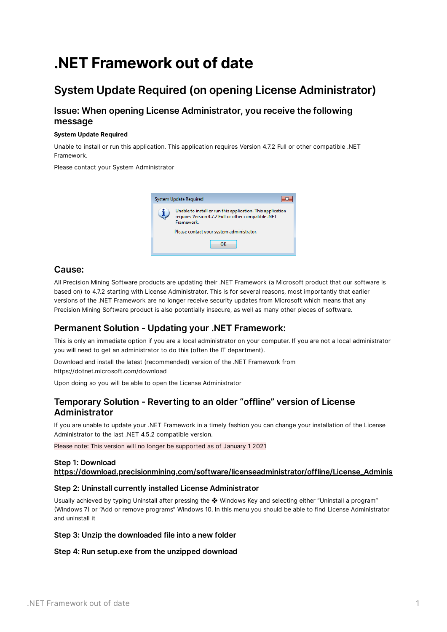# **.NET Framework out of date**

# **System Update Required (on opening License Administrator)**

# **Issue: When opening License Administrator, you receive the following message**

#### **System Update Required**

Unable to install or run this application. This application requires Version 4.7.2 Full or other compatible .NET **Framework** 

Please contact your System Administrator



## **Cause:**

All Precision Mining Software products are updating their .NET Framework (a Microsoft product that our software is based on) to 4.7.2 starting with License Administrator. This is for several reasons, most importantly that earlier versions of the .NET Framework are no longer receive security updates from Microsoft which means that any Precision Mining Software product is also potentially insecure, as well as many other pieces of software.

# **Permanent Solution - Updating your .NET Framework:**

This is only an immediate option if you are a local administrator on your computer. If you are not a local administrator you will need to get an administrator to do this (often the IT department).

Download and install the latest (recommended) version of the .NET Framework from

<https://dotnet.microsoft.com/download>

Upon doing so you will be able to open the License Administrator

# **Temporary Solution - Reverting to an older "offline" version of License Administrator**

If you are unable to update your .NET Framework in a timely fashion you can change your installation of the License Administrator to the last .NET 4.5.2 compatible version.

Please note: This version will no longer be supported as of January 1 2021

### **Step 1: Download [https://download.precisionmining.com/software/licenseadministrator/offline/License\\_Adminis](https://download.precisionmining.com/software/licenseadministrator/offline/License_Administrator_1.0.0.58.zip)**

#### **Step 2: Uninstall currently installed License Administrator**

Usually achieved by typing Uninstall after pressing the ❖ Windows Key and selecting either "Uninstall a program" (Windows 7) or "Add or remove programs" Windows 10. In this menu you should be able to find License Administrator and uninstall it

#### **Step 3: Unzip the downloaded file into a new folder**

#### **Step 4: Run setup.exe from the unzipped download**